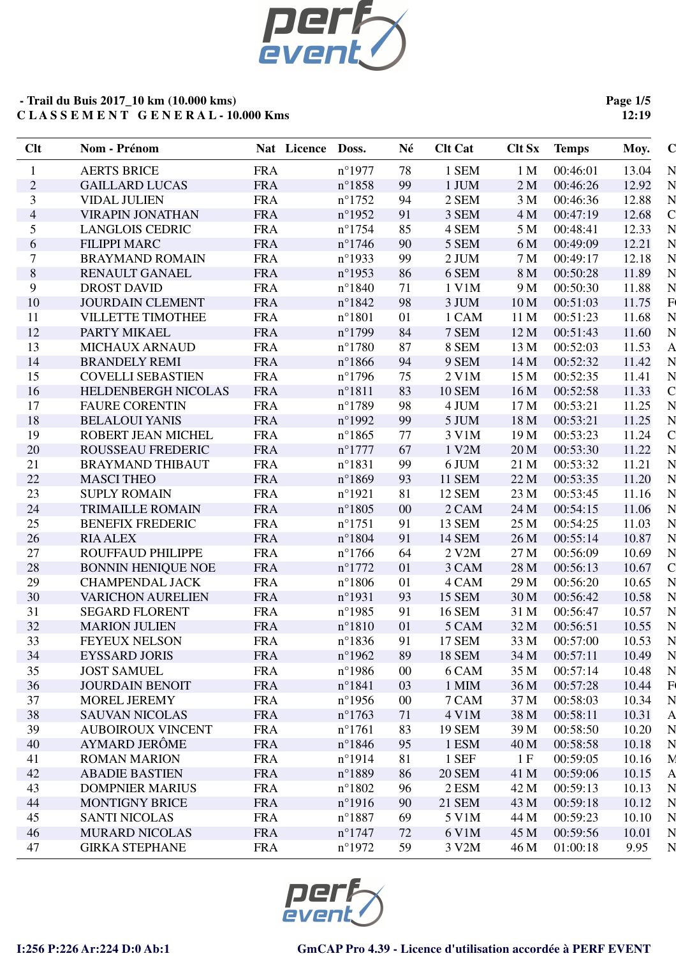

**Page 1/5 12:19**

| Clt            | Nom - Prénom              | Nat Licence Doss. |                  | Né     | <b>Clt Cat</b> | <b>Clt Sx</b>   | <b>Temps</b> | Moy.  | $\bf C$            |
|----------------|---------------------------|-------------------|------------------|--------|----------------|-----------------|--------------|-------|--------------------|
| $\mathbf{1}$   | <b>AERTS BRICE</b>        | <b>FRA</b>        | $n^{\circ}1977$  | 78     | 1 SEM          | 1 <sub>M</sub>  | 00:46:01     | 13.04 | N                  |
| $\overline{c}$ | <b>GAILLARD LUCAS</b>     | <b>FRA</b>        | $n^{\circ}1858$  | 99     | 1 JUM          | 2 <sub>M</sub>  | 00:46:26     | 12.92 | N                  |
| 3              | <b>VIDAL JULIEN</b>       | <b>FRA</b>        | $n^{\circ}1752$  | 94     | 2 SEM          | 3 M             | 00:46:36     | 12.88 | N                  |
| $\overline{4}$ | <b>VIRAPIN JONATHAN</b>   | <b>FRA</b>        | $n^{\circ}$ 1952 | 91     | 3 SEM          | 4 M             | 00:47:19     | 12.68 | $\overline{\rm C}$ |
| 5              | <b>LANGLOIS CEDRIC</b>    | <b>FRA</b>        | $n^{\circ}1754$  | 85     | 4 SEM          | 5 M             | 00:48:41     | 12.33 | N                  |
| 6              | <b>FILIPPI MARC</b>       | <b>FRA</b>        | $n^{\circ}$ 1746 | 90     | 5 SEM          | 6 M             | 00:49:09     | 12.21 | N                  |
| $\tau$         | <b>BRAYMAND ROMAIN</b>    | <b>FRA</b>        | $n^{\circ}$ 1933 | 99     | 2 JUM          | 7 M             | 00:49:17     | 12.18 | N                  |
| $8\,$          | RENAULT GANAEL            | <b>FRA</b>        | $n^{\circ}$ 1953 | 86     | 6 SEM          | 8 M             | 00:50:28     | 11.89 | N                  |
| 9              | <b>DROST DAVID</b>        | <b>FRA</b>        | $n^{\circ}1840$  | 71     | 1 V1M          | 9 M             | 00:50:30     | 11.88 | N                  |
| 10             | <b>JOURDAIN CLEMENT</b>   | <b>FRA</b>        | $n^{\circ}1842$  | 98     | 3 JUM          | 10 <sub>M</sub> | 00:51:03     | 11.75 | F(                 |
| 11             | <b>VILLETTE TIMOTHEE</b>  | <b>FRA</b>        | $n^{\circ}1801$  | 01     | 1 CAM          | 11 M            | 00:51:23     | 11.68 | N                  |
| 12             | PARTY MIKAEL              | <b>FRA</b>        | $n^{\circ}1799$  | 84     | 7 SEM          | 12M             | 00:51:43     | 11.60 | N                  |
| 13             | <b>MICHAUX ARNAUD</b>     | <b>FRA</b>        | $n^{\circ}1780$  | 87     | 8 SEM          | 13 M            | 00:52:03     | 11.53 | $\overline{A}$     |
| 14             | <b>BRANDELY REMI</b>      | <b>FRA</b>        | $n^{\circ}1866$  | 94     | 9 SEM          | 14 M            | 00:52:32     | 11.42 | N                  |
| 15             | <b>COVELLI SEBASTIEN</b>  | <b>FRA</b>        | $n^{\circ}1796$  | 75     | $2$ V1M        | 15 M            | 00:52:35     | 11.41 | N                  |
| 16             | HELDENBERGH NICOLAS       | <b>FRA</b>        | $n^{\circ}1811$  | 83     | <b>10 SEM</b>  | 16 M            | 00:52:58     | 11.33 | $\mathsf C$        |
| 17             | <b>FAURE CORENTIN</b>     | <b>FRA</b>        | $n^{\circ}1789$  | 98     | 4 JUM          | 17 <sub>M</sub> | 00:53:21     | 11.25 | N                  |
| 18             | <b>BELALOUI YANIS</b>     | <b>FRA</b>        | $n^{\circ}$ 1992 | 99     | 5 JUM          | 18 M            | 00:53:21     | 11.25 | N                  |
| 19             | ROBERT JEAN MICHEL        | <b>FRA</b>        | $n^{\circ}1865$  | 77     | 3 V1M          | 19 M            | 00:53:23     | 11.24 | $\mathsf{C}$       |
| 20             | ROUSSEAU FREDERIC         | <b>FRA</b>        | $n^{\circ}$ 1777 | 67     | 1 V2M          | 20 M            | 00:53:30     | 11.22 | N                  |
| 21             | <b>BRAYMAND THIBAUT</b>   | <b>FRA</b>        | $n^{\circ}1831$  | 99     | 6 JUM          | 21 M            | 00:53:32     | 11.21 | N                  |
| 22             | <b>MASCI THEO</b>         | <b>FRA</b>        | $n^{\circ}1869$  | 93     | <b>11 SEM</b>  | 22 M            | 00:53:35     | 11.20 | N                  |
| 23             | <b>SUPLY ROMAIN</b>       | <b>FRA</b>        | $n^{\circ}1921$  | 81     | <b>12 SEM</b>  | 23 M            | 00:53:45     | 11.16 | N                  |
| 24             | <b>TRIMAILLE ROMAIN</b>   | <b>FRA</b>        | $n^{\circ}1805$  | $00\,$ | 2 CAM          | 24 M            | 00:54:15     | 11.06 | N                  |
| 25             | <b>BENEFIX FREDERIC</b>   | <b>FRA</b>        | $n^{\circ}1751$  | 91     | 13 SEM         | 25 M            | 00:54:25     | 11.03 | N                  |
| 26             | <b>RIA ALEX</b>           | <b>FRA</b>        | $n^{\circ}1804$  | 91     | <b>14 SEM</b>  | 26 M            | 00:55:14     | 10.87 | N                  |
| 27             | ROUFFAUD PHILIPPE         | <b>FRA</b>        | $n^{\circ}1766$  | 64     | 2 V2M          | 27 M            | 00:56:09     | 10.69 | N                  |
| 28             | <b>BONNIN HENIQUE NOE</b> | <b>FRA</b>        | $n^{\circ}1772$  | 01     | 3 CAM          | 28 M            | 00:56:13     | 10.67 | $\mathsf C$        |
| 29             | <b>CHAMPENDAL JACK</b>    | <b>FRA</b>        | $n^{\circ}1806$  | 01     | 4 CAM          | 29 M            | 00:56:20     | 10.65 | N                  |
| 30             | <b>VARICHON AURELIEN</b>  | <b>FRA</b>        | $n^{\circ}$ 1931 | 93     | <b>15 SEM</b>  | 30 M            | 00:56:42     | 10.58 | N                  |
| 31             | <b>SEGARD FLORENT</b>     | <b>FRA</b>        | $n^{\circ}$ 1985 | 91     | <b>16 SEM</b>  | 31 M            | 00:56:47     | 10.57 | N                  |
| 32             | <b>MARION JULIEN</b>      | <b>FRA</b>        | $n^{\circ}1810$  | 01     | 5 CAM          | 32 M            | 00:56:51     | 10.55 | N                  |
| 33             | <b>FEYEUX NELSON</b>      | <b>FRA</b>        | $n^{\circ}1836$  | 91     | 17 SEM         | 33 M            | 00:57:00     | 10.53 | N                  |
| 34             | <b>EYSSARD JORIS</b>      | <b>FRA</b>        | $n^{\circ}$ 1962 | 89     | <b>18 SEM</b>  | 34 M            | 00:57:11     | 10.49 | N                  |
| 35             | <b>JOST SAMUEL</b>        | <b>FRA</b>        | $n^{\circ}$ 1986 | $00\,$ | 6 CAM          | 35 M            | 00:57:14     | 10.48 | N                  |
| 36             | <b>JOURDAIN BENOIT</b>    | <b>FRA</b>        | $n^{\circ}1841$  | 03     | 1 MIM          | 36 M            | 00:57:28     | 10.44 | F(                 |
| 37             | <b>MOREL JEREMY</b>       | <b>FRA</b>        | $n^{\circ}$ 1956 | $00\,$ | 7 CAM          | 37 M            | 00:58:03     | 10.34 | N                  |
| 38             | <b>SAUVAN NICOLAS</b>     | <b>FRA</b>        | $n^{\circ}1763$  | 71     | 4 V1M          | 38 M            | 00:58:11     | 10.31 | A                  |
| 39             | <b>AUBOIROUX VINCENT</b>  | <b>FRA</b>        | $n^{\circ}1761$  | 83     | <b>19 SEM</b>  | 39 M            | 00:58:50     | 10.20 | N                  |
| 40             | <b>AYMARD JERÔME</b>      | <b>FRA</b>        | $n^{\circ}1846$  | 95     | 1 ESM          | 40 M            | 00:58:58     | 10.18 | N                  |
| 41             | <b>ROMAN MARION</b>       | <b>FRA</b>        | $n^{\circ}1914$  | 81     | 1 SEF          | 1 F             | 00:59:05     | 10.16 | N.                 |
| 42             | <b>ABADIE BASTIEN</b>     | <b>FRA</b>        | $n^{\circ}1889$  | 86     | <b>20 SEM</b>  | 41 M            | 00:59:06     | 10.15 | A                  |
| 43             | <b>DOMPNIER MARIUS</b>    | <b>FRA</b>        | $n^{\circ}1802$  | 96     | 2 ESM          | 42 M            | 00:59:13     | 10.13 | N                  |
| 44             | <b>MONTIGNY BRICE</b>     | <b>FRA</b>        | $n^{\circ}$ 1916 | 90     | <b>21 SEM</b>  | 43 M            | 00:59:18     | 10.12 | N                  |
| 45             | <b>SANTI NICOLAS</b>      | <b>FRA</b>        | $n^{\circ}1887$  | 69     | 5 V1M          | 44 M            | 00:59:23     | 10.10 | N                  |
| 46             | <b>MURARD NICOLAS</b>     | <b>FRA</b>        | $n^{\circ}$ 1747 | 72     | 6 V1M          | 45 M            | 00:59:56     | 10.01 | N                  |
| 47             | <b>GIRKA STEPHANE</b>     | <b>FRA</b>        | $n^{\circ}1972$  | 59     | 3 V2M          | 46 M            | 01:00:18     | 9.95  | N                  |
|                |                           |                   |                  |        |                |                 |              |       |                    |

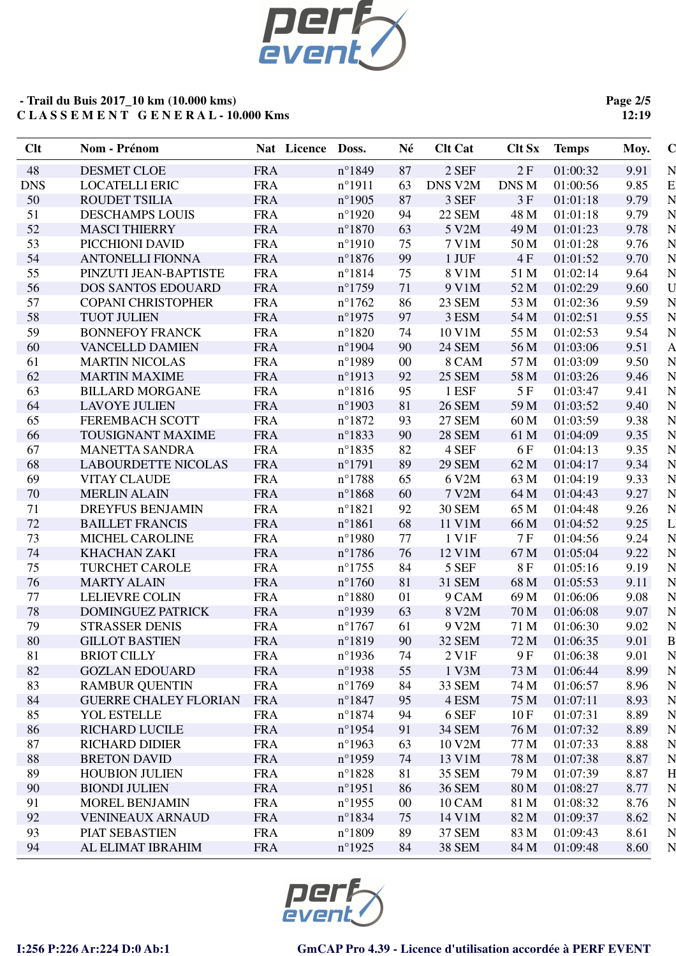

**Page 2/5 12:19**

| 48<br><b>DESMET CLOE</b><br><b>FRA</b><br>2 SEF<br>2F<br>01:00:32<br>9.91<br>N<br>$n^{\circ}1849$<br>87<br><b>DNS</b><br><b>FRA</b><br>DNS V2M<br>DNS M<br>9.85<br><b>LOCATELLI ERIC</b><br>$n^{\circ}1911$<br>63<br>01:00:56<br>3 SEF<br>50<br><b>ROUDET TSILIA</b><br><b>FRA</b><br>$n^{\circ}$ 1905<br>87<br>3F<br>01:01:18<br>9.79<br><b>FRA</b><br><b>22 SEM</b><br>9.79<br>51<br><b>DESCHAMPS LOUIS</b><br>$n^{\circ}1920$<br>94<br>48 M<br>01:01:18<br>52<br><b>MASCI THIERRY</b><br><b>FRA</b><br>$n^{\circ}1870$<br>5 V2M<br>49 M<br>01:01:23<br>9.78<br>63<br>53<br>PICCHIONI DAVID<br><b>FRA</b><br>$n^{\circ}1910$<br>7 V1M<br>50 M<br>01:01:28<br>9.76<br>75<br>54<br><b>FRA</b><br>99<br>1 JUF<br>4F<br>9.70<br><b>ANTONELLI FIONNA</b><br>$n^{\circ}1876$<br>01:01:52<br>55<br>$n^{\circ}1814$<br>8 V1M<br>PINZUTI JEAN-BAPTISTE<br><b>FRA</b><br>75<br>51 M<br>01:02:14<br>9.64<br>56<br><b>DOS SANTOS EDOUARD</b><br><b>FRA</b><br>9 V1M<br>52 M<br>01:02:29<br>$n^{\circ}1759$<br>9.60<br>71<br>57<br><b>FRA</b><br><b>COPANI CHRISTOPHER</b><br>$n^{\circ}1762$<br><b>23 SEM</b><br>53 M<br>01:02:36<br>9.59<br>86<br>58<br><b>FRA</b><br>3 ESM<br>9.55<br><b>TUOT JULIEN</b><br>$n^{\circ}$ 1975<br>97<br>54 M<br>01:02:51<br>59<br>9.54<br><b>BONNEFOY FRANCK</b><br><b>FRA</b><br>$n^{\circ}1820$<br>10 V1M<br>55 M<br>01:02:53<br>74<br>60<br><b>FRA</b><br>$n^{\circ}$ 1904<br>9.51<br>VANCELLD DAMIEN<br>90<br><b>24 SEM</b><br>56 M<br>01:03:06<br><b>MARTIN NICOLAS</b><br><b>FRA</b><br>57 M<br>01:03:09<br>9.50<br>61<br>$n^{\circ}$ 1989<br>$00\,$<br>8 CAM<br>62<br><b>MARTIN MAXIME</b><br><b>FRA</b><br><b>25 SEM</b><br>$n^{\circ}1913$<br>92<br>58 M<br>01:03:26<br>9.46<br>63<br><b>BILLARD MORGANE</b><br><b>FRA</b><br>$n^{\circ}1816$<br>1 ESF<br>5F<br>9.41<br>95<br>01:03:47<br><b>FRA</b><br><b>26 SEM</b><br>64<br><b>LAVOYE JULIEN</b><br>$n^{\circ}$ 1903<br>81<br>59 M<br>01:03:52<br>9.40<br>9.38<br>65<br><b>FEREMBACH SCOTT</b><br><b>FRA</b><br>$n^{\circ}1872$<br>93<br><b>27 SEM</b><br>60 M<br>01:03:59<br><b>FRA</b><br>$n^{\circ}1833$<br><b>28 SEM</b><br>01:04:09<br>9.35<br>66<br><b>TOUSIGNANT MAXIME</b><br>90<br>61 M<br><b>FRA</b><br>9.35<br>67<br><b>MANETTA SANDRA</b><br>$n^{\circ}1835$<br>82<br>4 SEF<br>6 F<br>01:04:13<br>68<br>62 M<br>01:04:17<br>9.34<br><b>LABOURDETTE NICOLAS</b><br><b>FRA</b><br>$n^{\circ}1791$<br>89<br><b>29 SEM</b><br>69<br><b>VITAY CLAUDE</b><br><b>FRA</b><br>$n^{\circ}$ 1788<br>6 V2M<br>63 M<br>01:04:19<br>9.33<br>65<br><b>FRA</b><br>9.27<br>70<br><b>MERLIN ALAIN</b><br>$n^{\circ}1868$<br>60<br>7 V2M<br>64 M<br>01:04:43<br>71<br>DREYFUS BENJAMIN<br><b>FRA</b><br>$n^{\circ}1821$<br>92<br><b>30 SEM</b><br>65 M<br>01:04:48<br>9.26<br>72<br><b>FRA</b><br>11 V1M<br>9.25<br><b>BAILLET FRANCIS</b><br>$n^{\circ}1861$<br>68<br>66 M<br>01:04:52<br>73<br><b>FRA</b><br>1 V1F<br>7 F<br>9.24<br>MICHEL CAROLINE<br>$n^{\circ}$ 1980<br>77<br>01:04:56<br>74<br><b>KHACHAN ZAKI</b><br><b>FRA</b><br>12 V1M<br>9.22<br>$n^{\circ}$ 1786<br>76<br>67 M<br>01:05:04<br>75<br><b>TURCHET CAROLE</b><br><b>FRA</b><br>5 SEF<br>8F<br>9.19<br>$n^{\circ}$ 1755<br>84<br>01:05:16<br><b>FRA</b><br>31 SEM<br>76<br><b>MARTY ALAIN</b><br>$n^{\circ}1760$<br>81<br>68 M<br>01:05:53<br>9.11<br>77<br><b>LELIEVRE COLIN</b><br><b>FRA</b><br>$n^{\circ}1880$<br>9 CAM<br>69 M<br>01:06:06<br>9.08<br>01<br>78<br><b>DOMINGUEZ PATRICK</b><br><b>FRA</b><br>$n^{\circ}$ 1939<br>8 V2M<br>70 M<br>01:06:08<br>9.07<br>63<br>79<br><b>STRASSER DENIS</b><br><b>FRA</b><br>$n^{\circ}1767$<br>9 V2M<br>71 M<br>01:06:30<br>9.02<br>61<br>80<br>90<br>72 M<br>9.01<br><b>GILLOT BASTIEN</b><br><b>FRA</b><br>$n^{\circ}1819$<br><b>32 SEM</b><br>01:06:35<br>81<br>9.01<br><b>BRIOT CILLY</b><br><b>FRA</b><br>$n^{\circ}$ 1936<br>74<br>$2$ V <sub>1</sub> $F$<br>9 F<br>01:06:38<br><b>FRA</b><br><b>GOZLAN EDOUARD</b><br>1 V3M<br>82<br>$n^{\circ}$ 1938<br>73 M<br>01:06:44<br>8.99<br>55<br><b>FRA</b><br>83<br><b>RAMBUR QUENTIN</b><br>$n^{\circ}1769$<br>33 SEM<br>74 M<br>01:06:57<br>8.96<br>84<br>84<br><b>GUERRE CHALEY FLORIAN</b><br><b>FRA</b><br>$n^{\circ}1847$<br>4 ESM<br>75 M<br>01:07:11<br>8.93<br>95<br><b>FRA</b><br>6 SEF<br>85<br>YOL ESTELLE<br>$n^{\circ}1874$<br>10F<br>01:07:31<br>8.89<br>94<br><b>FRA</b><br>86<br><b>RICHARD LUCILE</b><br>$n^{\circ}$ 1954<br>34 SEM<br>76 M<br>01:07:32<br>8.89<br>91<br><b>FRA</b><br>87<br><b>RICHARD DIDIER</b><br>$n^{\circ}$ 1963<br>10 V2M<br>77 M<br>01:07:33<br>8.88<br>63<br>88<br><b>BRETON DAVID</b><br><b>FRA</b><br>13 V1M<br>01:07:38<br>$n^{\circ}$ 1959<br>78 M<br>8.87<br>74<br>01:07:39<br>89<br><b>HOUBION JULIEN</b><br><b>FRA</b><br>$n^{\circ}1828$<br>35 SEM<br>79 M<br>8.87<br>81<br>90<br><b>BIONDI JULIEN</b><br><b>FRA</b><br>$n^{\circ}1951$<br><b>36 SEM</b><br>80 M<br>01:08:27<br>8.77<br>86<br><b>FRA</b><br>91<br>MOREL BENJAMIN<br>$n^{\circ}$ 1955<br>$00\,$<br>10 CAM<br>81 M<br>01:08:32<br>8.76 |
|---------------------------------------------------------------------------------------------------------------------------------------------------------------------------------------------------------------------------------------------------------------------------------------------------------------------------------------------------------------------------------------------------------------------------------------------------------------------------------------------------------------------------------------------------------------------------------------------------------------------------------------------------------------------------------------------------------------------------------------------------------------------------------------------------------------------------------------------------------------------------------------------------------------------------------------------------------------------------------------------------------------------------------------------------------------------------------------------------------------------------------------------------------------------------------------------------------------------------------------------------------------------------------------------------------------------------------------------------------------------------------------------------------------------------------------------------------------------------------------------------------------------------------------------------------------------------------------------------------------------------------------------------------------------------------------------------------------------------------------------------------------------------------------------------------------------------------------------------------------------------------------------------------------------------------------------------------------------------------------------------------------------------------------------------------------------------------------------------------------------------------------------------------------------------------------------------------------------------------------------------------------------------------------------------------------------------------------------------------------------------------------------------------------------------------------------------------------------------------------------------------------------------------------------------------------------------------------------------------------------------------------------------------------------------------------------------------------------------------------------------------------------------------------------------------------------------------------------------------------------------------------------------------------------------------------------------------------------------------------------------------------------------------------------------------------------------------------------------------------------------------------------------------------------------------------------------------------------------------------------------------------------------------------------------------------------------------------------------------------------------------------------------------------------------------------------------------------------------------------------------------------------------------------------------------------------------------------------------------------------------------------------------------------------------------------------------------------------------------------------------------------------------------------------------------------------------------------------------------------------------------------------------------------------------------------------------------------------------------------------------------------------------------------------------------------------------------------------------------------------------------------------------------------------------------------------------------------------------------------------------------------------------------------------------------------------------------------------------------------------------------------------------------------------------------------------------------------------------------------------------------------------------------------------------------------------------------------------------------------------------------------------------------------------------------------------------------------------------------------------------------------------------------------------------------------------------------------------------------------------------------------------------------------------------------------------------------------------------------------------------------------|
| E<br>N<br>N                                                                                                                                                                                                                                                                                                                                                                                                                                                                                                                                                                                                                                                                                                                                                                                                                                                                                                                                                                                                                                                                                                                                                                                                                                                                                                                                                                                                                                                                                                                                                                                                                                                                                                                                                                                                                                                                                                                                                                                                                                                                                                                                                                                                                                                                                                                                                                                                                                                                                                                                                                                                                                                                                                                                                                                                                                                                                                                                                                                                                                                                                                                                                                                                                                                                                                                                                                                                                                                                                                                                                                                                                                                                                                                                                                                                                                                                                                                                                                                                                                                                                                                                                                                                                                                                                                                                                                                                                                                                                                                                                                                                                                                                                                                                                                                                                                                                                                                                                                                                   |
|                                                                                                                                                                                                                                                                                                                                                                                                                                                                                                                                                                                                                                                                                                                                                                                                                                                                                                                                                                                                                                                                                                                                                                                                                                                                                                                                                                                                                                                                                                                                                                                                                                                                                                                                                                                                                                                                                                                                                                                                                                                                                                                                                                                                                                                                                                                                                                                                                                                                                                                                                                                                                                                                                                                                                                                                                                                                                                                                                                                                                                                                                                                                                                                                                                                                                                                                                                                                                                                                                                                                                                                                                                                                                                                                                                                                                                                                                                                                                                                                                                                                                                                                                                                                                                                                                                                                                                                                                                                                                                                                                                                                                                                                                                                                                                                                                                                                                                                                                                                                               |
|                                                                                                                                                                                                                                                                                                                                                                                                                                                                                                                                                                                                                                                                                                                                                                                                                                                                                                                                                                                                                                                                                                                                                                                                                                                                                                                                                                                                                                                                                                                                                                                                                                                                                                                                                                                                                                                                                                                                                                                                                                                                                                                                                                                                                                                                                                                                                                                                                                                                                                                                                                                                                                                                                                                                                                                                                                                                                                                                                                                                                                                                                                                                                                                                                                                                                                                                                                                                                                                                                                                                                                                                                                                                                                                                                                                                                                                                                                                                                                                                                                                                                                                                                                                                                                                                                                                                                                                                                                                                                                                                                                                                                                                                                                                                                                                                                                                                                                                                                                                                               |
| N<br>N<br>N<br>N<br>U<br>N<br>N<br>N<br>A<br>N                                                                                                                                                                                                                                                                                                                                                                                                                                                                                                                                                                                                                                                                                                                                                                                                                                                                                                                                                                                                                                                                                                                                                                                                                                                                                                                                                                                                                                                                                                                                                                                                                                                                                                                                                                                                                                                                                                                                                                                                                                                                                                                                                                                                                                                                                                                                                                                                                                                                                                                                                                                                                                                                                                                                                                                                                                                                                                                                                                                                                                                                                                                                                                                                                                                                                                                                                                                                                                                                                                                                                                                                                                                                                                                                                                                                                                                                                                                                                                                                                                                                                                                                                                                                                                                                                                                                                                                                                                                                                                                                                                                                                                                                                                                                                                                                                                                                                                                                                                |
|                                                                                                                                                                                                                                                                                                                                                                                                                                                                                                                                                                                                                                                                                                                                                                                                                                                                                                                                                                                                                                                                                                                                                                                                                                                                                                                                                                                                                                                                                                                                                                                                                                                                                                                                                                                                                                                                                                                                                                                                                                                                                                                                                                                                                                                                                                                                                                                                                                                                                                                                                                                                                                                                                                                                                                                                                                                                                                                                                                                                                                                                                                                                                                                                                                                                                                                                                                                                                                                                                                                                                                                                                                                                                                                                                                                                                                                                                                                                                                                                                                                                                                                                                                                                                                                                                                                                                                                                                                                                                                                                                                                                                                                                                                                                                                                                                                                                                                                                                                                                               |
|                                                                                                                                                                                                                                                                                                                                                                                                                                                                                                                                                                                                                                                                                                                                                                                                                                                                                                                                                                                                                                                                                                                                                                                                                                                                                                                                                                                                                                                                                                                                                                                                                                                                                                                                                                                                                                                                                                                                                                                                                                                                                                                                                                                                                                                                                                                                                                                                                                                                                                                                                                                                                                                                                                                                                                                                                                                                                                                                                                                                                                                                                                                                                                                                                                                                                                                                                                                                                                                                                                                                                                                                                                                                                                                                                                                                                                                                                                                                                                                                                                                                                                                                                                                                                                                                                                                                                                                                                                                                                                                                                                                                                                                                                                                                                                                                                                                                                                                                                                                                               |
|                                                                                                                                                                                                                                                                                                                                                                                                                                                                                                                                                                                                                                                                                                                                                                                                                                                                                                                                                                                                                                                                                                                                                                                                                                                                                                                                                                                                                                                                                                                                                                                                                                                                                                                                                                                                                                                                                                                                                                                                                                                                                                                                                                                                                                                                                                                                                                                                                                                                                                                                                                                                                                                                                                                                                                                                                                                                                                                                                                                                                                                                                                                                                                                                                                                                                                                                                                                                                                                                                                                                                                                                                                                                                                                                                                                                                                                                                                                                                                                                                                                                                                                                                                                                                                                                                                                                                                                                                                                                                                                                                                                                                                                                                                                                                                                                                                                                                                                                                                                                               |
|                                                                                                                                                                                                                                                                                                                                                                                                                                                                                                                                                                                                                                                                                                                                                                                                                                                                                                                                                                                                                                                                                                                                                                                                                                                                                                                                                                                                                                                                                                                                                                                                                                                                                                                                                                                                                                                                                                                                                                                                                                                                                                                                                                                                                                                                                                                                                                                                                                                                                                                                                                                                                                                                                                                                                                                                                                                                                                                                                                                                                                                                                                                                                                                                                                                                                                                                                                                                                                                                                                                                                                                                                                                                                                                                                                                                                                                                                                                                                                                                                                                                                                                                                                                                                                                                                                                                                                                                                                                                                                                                                                                                                                                                                                                                                                                                                                                                                                                                                                                                               |
|                                                                                                                                                                                                                                                                                                                                                                                                                                                                                                                                                                                                                                                                                                                                                                                                                                                                                                                                                                                                                                                                                                                                                                                                                                                                                                                                                                                                                                                                                                                                                                                                                                                                                                                                                                                                                                                                                                                                                                                                                                                                                                                                                                                                                                                                                                                                                                                                                                                                                                                                                                                                                                                                                                                                                                                                                                                                                                                                                                                                                                                                                                                                                                                                                                                                                                                                                                                                                                                                                                                                                                                                                                                                                                                                                                                                                                                                                                                                                                                                                                                                                                                                                                                                                                                                                                                                                                                                                                                                                                                                                                                                                                                                                                                                                                                                                                                                                                                                                                                                               |
|                                                                                                                                                                                                                                                                                                                                                                                                                                                                                                                                                                                                                                                                                                                                                                                                                                                                                                                                                                                                                                                                                                                                                                                                                                                                                                                                                                                                                                                                                                                                                                                                                                                                                                                                                                                                                                                                                                                                                                                                                                                                                                                                                                                                                                                                                                                                                                                                                                                                                                                                                                                                                                                                                                                                                                                                                                                                                                                                                                                                                                                                                                                                                                                                                                                                                                                                                                                                                                                                                                                                                                                                                                                                                                                                                                                                                                                                                                                                                                                                                                                                                                                                                                                                                                                                                                                                                                                                                                                                                                                                                                                                                                                                                                                                                                                                                                                                                                                                                                                                               |
|                                                                                                                                                                                                                                                                                                                                                                                                                                                                                                                                                                                                                                                                                                                                                                                                                                                                                                                                                                                                                                                                                                                                                                                                                                                                                                                                                                                                                                                                                                                                                                                                                                                                                                                                                                                                                                                                                                                                                                                                                                                                                                                                                                                                                                                                                                                                                                                                                                                                                                                                                                                                                                                                                                                                                                                                                                                                                                                                                                                                                                                                                                                                                                                                                                                                                                                                                                                                                                                                                                                                                                                                                                                                                                                                                                                                                                                                                                                                                                                                                                                                                                                                                                                                                                                                                                                                                                                                                                                                                                                                                                                                                                                                                                                                                                                                                                                                                                                                                                                                               |
|                                                                                                                                                                                                                                                                                                                                                                                                                                                                                                                                                                                                                                                                                                                                                                                                                                                                                                                                                                                                                                                                                                                                                                                                                                                                                                                                                                                                                                                                                                                                                                                                                                                                                                                                                                                                                                                                                                                                                                                                                                                                                                                                                                                                                                                                                                                                                                                                                                                                                                                                                                                                                                                                                                                                                                                                                                                                                                                                                                                                                                                                                                                                                                                                                                                                                                                                                                                                                                                                                                                                                                                                                                                                                                                                                                                                                                                                                                                                                                                                                                                                                                                                                                                                                                                                                                                                                                                                                                                                                                                                                                                                                                                                                                                                                                                                                                                                                                                                                                                                               |
|                                                                                                                                                                                                                                                                                                                                                                                                                                                                                                                                                                                                                                                                                                                                                                                                                                                                                                                                                                                                                                                                                                                                                                                                                                                                                                                                                                                                                                                                                                                                                                                                                                                                                                                                                                                                                                                                                                                                                                                                                                                                                                                                                                                                                                                                                                                                                                                                                                                                                                                                                                                                                                                                                                                                                                                                                                                                                                                                                                                                                                                                                                                                                                                                                                                                                                                                                                                                                                                                                                                                                                                                                                                                                                                                                                                                                                                                                                                                                                                                                                                                                                                                                                                                                                                                                                                                                                                                                                                                                                                                                                                                                                                                                                                                                                                                                                                                                                                                                                                                               |
| N<br>N<br>N<br>N<br>N<br>N<br>N                                                                                                                                                                                                                                                                                                                                                                                                                                                                                                                                                                                                                                                                                                                                                                                                                                                                                                                                                                                                                                                                                                                                                                                                                                                                                                                                                                                                                                                                                                                                                                                                                                                                                                                                                                                                                                                                                                                                                                                                                                                                                                                                                                                                                                                                                                                                                                                                                                                                                                                                                                                                                                                                                                                                                                                                                                                                                                                                                                                                                                                                                                                                                                                                                                                                                                                                                                                                                                                                                                                                                                                                                                                                                                                                                                                                                                                                                                                                                                                                                                                                                                                                                                                                                                                                                                                                                                                                                                                                                                                                                                                                                                                                                                                                                                                                                                                                                                                                                                               |
|                                                                                                                                                                                                                                                                                                                                                                                                                                                                                                                                                                                                                                                                                                                                                                                                                                                                                                                                                                                                                                                                                                                                                                                                                                                                                                                                                                                                                                                                                                                                                                                                                                                                                                                                                                                                                                                                                                                                                                                                                                                                                                                                                                                                                                                                                                                                                                                                                                                                                                                                                                                                                                                                                                                                                                                                                                                                                                                                                                                                                                                                                                                                                                                                                                                                                                                                                                                                                                                                                                                                                                                                                                                                                                                                                                                                                                                                                                                                                                                                                                                                                                                                                                                                                                                                                                                                                                                                                                                                                                                                                                                                                                                                                                                                                                                                                                                                                                                                                                                                               |
| N<br>N<br>N<br>N<br>N<br>N<br>N<br>N<br>N                                                                                                                                                                                                                                                                                                                                                                                                                                                                                                                                                                                                                                                                                                                                                                                                                                                                                                                                                                                                                                                                                                                                                                                                                                                                                                                                                                                                                                                                                                                                                                                                                                                                                                                                                                                                                                                                                                                                                                                                                                                                                                                                                                                                                                                                                                                                                                                                                                                                                                                                                                                                                                                                                                                                                                                                                                                                                                                                                                                                                                                                                                                                                                                                                                                                                                                                                                                                                                                                                                                                                                                                                                                                                                                                                                                                                                                                                                                                                                                                                                                                                                                                                                                                                                                                                                                                                                                                                                                                                                                                                                                                                                                                                                                                                                                                                                                                                                                                                                     |
|                                                                                                                                                                                                                                                                                                                                                                                                                                                                                                                                                                                                                                                                                                                                                                                                                                                                                                                                                                                                                                                                                                                                                                                                                                                                                                                                                                                                                                                                                                                                                                                                                                                                                                                                                                                                                                                                                                                                                                                                                                                                                                                                                                                                                                                                                                                                                                                                                                                                                                                                                                                                                                                                                                                                                                                                                                                                                                                                                                                                                                                                                                                                                                                                                                                                                                                                                                                                                                                                                                                                                                                                                                                                                                                                                                                                                                                                                                                                                                                                                                                                                                                                                                                                                                                                                                                                                                                                                                                                                                                                                                                                                                                                                                                                                                                                                                                                                                                                                                                                               |
|                                                                                                                                                                                                                                                                                                                                                                                                                                                                                                                                                                                                                                                                                                                                                                                                                                                                                                                                                                                                                                                                                                                                                                                                                                                                                                                                                                                                                                                                                                                                                                                                                                                                                                                                                                                                                                                                                                                                                                                                                                                                                                                                                                                                                                                                                                                                                                                                                                                                                                                                                                                                                                                                                                                                                                                                                                                                                                                                                                                                                                                                                                                                                                                                                                                                                                                                                                                                                                                                                                                                                                                                                                                                                                                                                                                                                                                                                                                                                                                                                                                                                                                                                                                                                                                                                                                                                                                                                                                                                                                                                                                                                                                                                                                                                                                                                                                                                                                                                                                                               |
|                                                                                                                                                                                                                                                                                                                                                                                                                                                                                                                                                                                                                                                                                                                                                                                                                                                                                                                                                                                                                                                                                                                                                                                                                                                                                                                                                                                                                                                                                                                                                                                                                                                                                                                                                                                                                                                                                                                                                                                                                                                                                                                                                                                                                                                                                                                                                                                                                                                                                                                                                                                                                                                                                                                                                                                                                                                                                                                                                                                                                                                                                                                                                                                                                                                                                                                                                                                                                                                                                                                                                                                                                                                                                                                                                                                                                                                                                                                                                                                                                                                                                                                                                                                                                                                                                                                                                                                                                                                                                                                                                                                                                                                                                                                                                                                                                                                                                                                                                                                                               |
|                                                                                                                                                                                                                                                                                                                                                                                                                                                                                                                                                                                                                                                                                                                                                                                                                                                                                                                                                                                                                                                                                                                                                                                                                                                                                                                                                                                                                                                                                                                                                                                                                                                                                                                                                                                                                                                                                                                                                                                                                                                                                                                                                                                                                                                                                                                                                                                                                                                                                                                                                                                                                                                                                                                                                                                                                                                                                                                                                                                                                                                                                                                                                                                                                                                                                                                                                                                                                                                                                                                                                                                                                                                                                                                                                                                                                                                                                                                                                                                                                                                                                                                                                                                                                                                                                                                                                                                                                                                                                                                                                                                                                                                                                                                                                                                                                                                                                                                                                                                                               |
|                                                                                                                                                                                                                                                                                                                                                                                                                                                                                                                                                                                                                                                                                                                                                                                                                                                                                                                                                                                                                                                                                                                                                                                                                                                                                                                                                                                                                                                                                                                                                                                                                                                                                                                                                                                                                                                                                                                                                                                                                                                                                                                                                                                                                                                                                                                                                                                                                                                                                                                                                                                                                                                                                                                                                                                                                                                                                                                                                                                                                                                                                                                                                                                                                                                                                                                                                                                                                                                                                                                                                                                                                                                                                                                                                                                                                                                                                                                                                                                                                                                                                                                                                                                                                                                                                                                                                                                                                                                                                                                                                                                                                                                                                                                                                                                                                                                                                                                                                                                                               |
|                                                                                                                                                                                                                                                                                                                                                                                                                                                                                                                                                                                                                                                                                                                                                                                                                                                                                                                                                                                                                                                                                                                                                                                                                                                                                                                                                                                                                                                                                                                                                                                                                                                                                                                                                                                                                                                                                                                                                                                                                                                                                                                                                                                                                                                                                                                                                                                                                                                                                                                                                                                                                                                                                                                                                                                                                                                                                                                                                                                                                                                                                                                                                                                                                                                                                                                                                                                                                                                                                                                                                                                                                                                                                                                                                                                                                                                                                                                                                                                                                                                                                                                                                                                                                                                                                                                                                                                                                                                                                                                                                                                                                                                                                                                                                                                                                                                                                                                                                                                                               |
|                                                                                                                                                                                                                                                                                                                                                                                                                                                                                                                                                                                                                                                                                                                                                                                                                                                                                                                                                                                                                                                                                                                                                                                                                                                                                                                                                                                                                                                                                                                                                                                                                                                                                                                                                                                                                                                                                                                                                                                                                                                                                                                                                                                                                                                                                                                                                                                                                                                                                                                                                                                                                                                                                                                                                                                                                                                                                                                                                                                                                                                                                                                                                                                                                                                                                                                                                                                                                                                                                                                                                                                                                                                                                                                                                                                                                                                                                                                                                                                                                                                                                                                                                                                                                                                                                                                                                                                                                                                                                                                                                                                                                                                                                                                                                                                                                                                                                                                                                                                                               |
|                                                                                                                                                                                                                                                                                                                                                                                                                                                                                                                                                                                                                                                                                                                                                                                                                                                                                                                                                                                                                                                                                                                                                                                                                                                                                                                                                                                                                                                                                                                                                                                                                                                                                                                                                                                                                                                                                                                                                                                                                                                                                                                                                                                                                                                                                                                                                                                                                                                                                                                                                                                                                                                                                                                                                                                                                                                                                                                                                                                                                                                                                                                                                                                                                                                                                                                                                                                                                                                                                                                                                                                                                                                                                                                                                                                                                                                                                                                                                                                                                                                                                                                                                                                                                                                                                                                                                                                                                                                                                                                                                                                                                                                                                                                                                                                                                                                                                                                                                                                                               |
|                                                                                                                                                                                                                                                                                                                                                                                                                                                                                                                                                                                                                                                                                                                                                                                                                                                                                                                                                                                                                                                                                                                                                                                                                                                                                                                                                                                                                                                                                                                                                                                                                                                                                                                                                                                                                                                                                                                                                                                                                                                                                                                                                                                                                                                                                                                                                                                                                                                                                                                                                                                                                                                                                                                                                                                                                                                                                                                                                                                                                                                                                                                                                                                                                                                                                                                                                                                                                                                                                                                                                                                                                                                                                                                                                                                                                                                                                                                                                                                                                                                                                                                                                                                                                                                                                                                                                                                                                                                                                                                                                                                                                                                                                                                                                                                                                                                                                                                                                                                                               |
|                                                                                                                                                                                                                                                                                                                                                                                                                                                                                                                                                                                                                                                                                                                                                                                                                                                                                                                                                                                                                                                                                                                                                                                                                                                                                                                                                                                                                                                                                                                                                                                                                                                                                                                                                                                                                                                                                                                                                                                                                                                                                                                                                                                                                                                                                                                                                                                                                                                                                                                                                                                                                                                                                                                                                                                                                                                                                                                                                                                                                                                                                                                                                                                                                                                                                                                                                                                                                                                                                                                                                                                                                                                                                                                                                                                                                                                                                                                                                                                                                                                                                                                                                                                                                                                                                                                                                                                                                                                                                                                                                                                                                                                                                                                                                                                                                                                                                                                                                                                                               |
|                                                                                                                                                                                                                                                                                                                                                                                                                                                                                                                                                                                                                                                                                                                                                                                                                                                                                                                                                                                                                                                                                                                                                                                                                                                                                                                                                                                                                                                                                                                                                                                                                                                                                                                                                                                                                                                                                                                                                                                                                                                                                                                                                                                                                                                                                                                                                                                                                                                                                                                                                                                                                                                                                                                                                                                                                                                                                                                                                                                                                                                                                                                                                                                                                                                                                                                                                                                                                                                                                                                                                                                                                                                                                                                                                                                                                                                                                                                                                                                                                                                                                                                                                                                                                                                                                                                                                                                                                                                                                                                                                                                                                                                                                                                                                                                                                                                                                                                                                                                                               |
|                                                                                                                                                                                                                                                                                                                                                                                                                                                                                                                                                                                                                                                                                                                                                                                                                                                                                                                                                                                                                                                                                                                                                                                                                                                                                                                                                                                                                                                                                                                                                                                                                                                                                                                                                                                                                                                                                                                                                                                                                                                                                                                                                                                                                                                                                                                                                                                                                                                                                                                                                                                                                                                                                                                                                                                                                                                                                                                                                                                                                                                                                                                                                                                                                                                                                                                                                                                                                                                                                                                                                                                                                                                                                                                                                                                                                                                                                                                                                                                                                                                                                                                                                                                                                                                                                                                                                                                                                                                                                                                                                                                                                                                                                                                                                                                                                                                                                                                                                                                                               |
| N<br>N<br>N<br>B<br>N<br>N<br>N<br>N<br>N<br>N<br>H<br>N                                                                                                                                                                                                                                                                                                                                                                                                                                                                                                                                                                                                                                                                                                                                                                                                                                                                                                                                                                                                                                                                                                                                                                                                                                                                                                                                                                                                                                                                                                                                                                                                                                                                                                                                                                                                                                                                                                                                                                                                                                                                                                                                                                                                                                                                                                                                                                                                                                                                                                                                                                                                                                                                                                                                                                                                                                                                                                                                                                                                                                                                                                                                                                                                                                                                                                                                                                                                                                                                                                                                                                                                                                                                                                                                                                                                                                                                                                                                                                                                                                                                                                                                                                                                                                                                                                                                                                                                                                                                                                                                                                                                                                                                                                                                                                                                                                                                                                                                                      |
|                                                                                                                                                                                                                                                                                                                                                                                                                                                                                                                                                                                                                                                                                                                                                                                                                                                                                                                                                                                                                                                                                                                                                                                                                                                                                                                                                                                                                                                                                                                                                                                                                                                                                                                                                                                                                                                                                                                                                                                                                                                                                                                                                                                                                                                                                                                                                                                                                                                                                                                                                                                                                                                                                                                                                                                                                                                                                                                                                                                                                                                                                                                                                                                                                                                                                                                                                                                                                                                                                                                                                                                                                                                                                                                                                                                                                                                                                                                                                                                                                                                                                                                                                                                                                                                                                                                                                                                                                                                                                                                                                                                                                                                                                                                                                                                                                                                                                                                                                                                                               |
|                                                                                                                                                                                                                                                                                                                                                                                                                                                                                                                                                                                                                                                                                                                                                                                                                                                                                                                                                                                                                                                                                                                                                                                                                                                                                                                                                                                                                                                                                                                                                                                                                                                                                                                                                                                                                                                                                                                                                                                                                                                                                                                                                                                                                                                                                                                                                                                                                                                                                                                                                                                                                                                                                                                                                                                                                                                                                                                                                                                                                                                                                                                                                                                                                                                                                                                                                                                                                                                                                                                                                                                                                                                                                                                                                                                                                                                                                                                                                                                                                                                                                                                                                                                                                                                                                                                                                                                                                                                                                                                                                                                                                                                                                                                                                                                                                                                                                                                                                                                                               |
|                                                                                                                                                                                                                                                                                                                                                                                                                                                                                                                                                                                                                                                                                                                                                                                                                                                                                                                                                                                                                                                                                                                                                                                                                                                                                                                                                                                                                                                                                                                                                                                                                                                                                                                                                                                                                                                                                                                                                                                                                                                                                                                                                                                                                                                                                                                                                                                                                                                                                                                                                                                                                                                                                                                                                                                                                                                                                                                                                                                                                                                                                                                                                                                                                                                                                                                                                                                                                                                                                                                                                                                                                                                                                                                                                                                                                                                                                                                                                                                                                                                                                                                                                                                                                                                                                                                                                                                                                                                                                                                                                                                                                                                                                                                                                                                                                                                                                                                                                                                                               |
|                                                                                                                                                                                                                                                                                                                                                                                                                                                                                                                                                                                                                                                                                                                                                                                                                                                                                                                                                                                                                                                                                                                                                                                                                                                                                                                                                                                                                                                                                                                                                                                                                                                                                                                                                                                                                                                                                                                                                                                                                                                                                                                                                                                                                                                                                                                                                                                                                                                                                                                                                                                                                                                                                                                                                                                                                                                                                                                                                                                                                                                                                                                                                                                                                                                                                                                                                                                                                                                                                                                                                                                                                                                                                                                                                                                                                                                                                                                                                                                                                                                                                                                                                                                                                                                                                                                                                                                                                                                                                                                                                                                                                                                                                                                                                                                                                                                                                                                                                                                                               |
|                                                                                                                                                                                                                                                                                                                                                                                                                                                                                                                                                                                                                                                                                                                                                                                                                                                                                                                                                                                                                                                                                                                                                                                                                                                                                                                                                                                                                                                                                                                                                                                                                                                                                                                                                                                                                                                                                                                                                                                                                                                                                                                                                                                                                                                                                                                                                                                                                                                                                                                                                                                                                                                                                                                                                                                                                                                                                                                                                                                                                                                                                                                                                                                                                                                                                                                                                                                                                                                                                                                                                                                                                                                                                                                                                                                                                                                                                                                                                                                                                                                                                                                                                                                                                                                                                                                                                                                                                                                                                                                                                                                                                                                                                                                                                                                                                                                                                                                                                                                                               |
|                                                                                                                                                                                                                                                                                                                                                                                                                                                                                                                                                                                                                                                                                                                                                                                                                                                                                                                                                                                                                                                                                                                                                                                                                                                                                                                                                                                                                                                                                                                                                                                                                                                                                                                                                                                                                                                                                                                                                                                                                                                                                                                                                                                                                                                                                                                                                                                                                                                                                                                                                                                                                                                                                                                                                                                                                                                                                                                                                                                                                                                                                                                                                                                                                                                                                                                                                                                                                                                                                                                                                                                                                                                                                                                                                                                                                                                                                                                                                                                                                                                                                                                                                                                                                                                                                                                                                                                                                                                                                                                                                                                                                                                                                                                                                                                                                                                                                                                                                                                                               |
|                                                                                                                                                                                                                                                                                                                                                                                                                                                                                                                                                                                                                                                                                                                                                                                                                                                                                                                                                                                                                                                                                                                                                                                                                                                                                                                                                                                                                                                                                                                                                                                                                                                                                                                                                                                                                                                                                                                                                                                                                                                                                                                                                                                                                                                                                                                                                                                                                                                                                                                                                                                                                                                                                                                                                                                                                                                                                                                                                                                                                                                                                                                                                                                                                                                                                                                                                                                                                                                                                                                                                                                                                                                                                                                                                                                                                                                                                                                                                                                                                                                                                                                                                                                                                                                                                                                                                                                                                                                                                                                                                                                                                                                                                                                                                                                                                                                                                                                                                                                                               |
|                                                                                                                                                                                                                                                                                                                                                                                                                                                                                                                                                                                                                                                                                                                                                                                                                                                                                                                                                                                                                                                                                                                                                                                                                                                                                                                                                                                                                                                                                                                                                                                                                                                                                                                                                                                                                                                                                                                                                                                                                                                                                                                                                                                                                                                                                                                                                                                                                                                                                                                                                                                                                                                                                                                                                                                                                                                                                                                                                                                                                                                                                                                                                                                                                                                                                                                                                                                                                                                                                                                                                                                                                                                                                                                                                                                                                                                                                                                                                                                                                                                                                                                                                                                                                                                                                                                                                                                                                                                                                                                                                                                                                                                                                                                                                                                                                                                                                                                                                                                                               |
|                                                                                                                                                                                                                                                                                                                                                                                                                                                                                                                                                                                                                                                                                                                                                                                                                                                                                                                                                                                                                                                                                                                                                                                                                                                                                                                                                                                                                                                                                                                                                                                                                                                                                                                                                                                                                                                                                                                                                                                                                                                                                                                                                                                                                                                                                                                                                                                                                                                                                                                                                                                                                                                                                                                                                                                                                                                                                                                                                                                                                                                                                                                                                                                                                                                                                                                                                                                                                                                                                                                                                                                                                                                                                                                                                                                                                                                                                                                                                                                                                                                                                                                                                                                                                                                                                                                                                                                                                                                                                                                                                                                                                                                                                                                                                                                                                                                                                                                                                                                                               |
|                                                                                                                                                                                                                                                                                                                                                                                                                                                                                                                                                                                                                                                                                                                                                                                                                                                                                                                                                                                                                                                                                                                                                                                                                                                                                                                                                                                                                                                                                                                                                                                                                                                                                                                                                                                                                                                                                                                                                                                                                                                                                                                                                                                                                                                                                                                                                                                                                                                                                                                                                                                                                                                                                                                                                                                                                                                                                                                                                                                                                                                                                                                                                                                                                                                                                                                                                                                                                                                                                                                                                                                                                                                                                                                                                                                                                                                                                                                                                                                                                                                                                                                                                                                                                                                                                                                                                                                                                                                                                                                                                                                                                                                                                                                                                                                                                                                                                                                                                                                                               |
|                                                                                                                                                                                                                                                                                                                                                                                                                                                                                                                                                                                                                                                                                                                                                                                                                                                                                                                                                                                                                                                                                                                                                                                                                                                                                                                                                                                                                                                                                                                                                                                                                                                                                                                                                                                                                                                                                                                                                                                                                                                                                                                                                                                                                                                                                                                                                                                                                                                                                                                                                                                                                                                                                                                                                                                                                                                                                                                                                                                                                                                                                                                                                                                                                                                                                                                                                                                                                                                                                                                                                                                                                                                                                                                                                                                                                                                                                                                                                                                                                                                                                                                                                                                                                                                                                                                                                                                                                                                                                                                                                                                                                                                                                                                                                                                                                                                                                                                                                                                                               |
|                                                                                                                                                                                                                                                                                                                                                                                                                                                                                                                                                                                                                                                                                                                                                                                                                                                                                                                                                                                                                                                                                                                                                                                                                                                                                                                                                                                                                                                                                                                                                                                                                                                                                                                                                                                                                                                                                                                                                                                                                                                                                                                                                                                                                                                                                                                                                                                                                                                                                                                                                                                                                                                                                                                                                                                                                                                                                                                                                                                                                                                                                                                                                                                                                                                                                                                                                                                                                                                                                                                                                                                                                                                                                                                                                                                                                                                                                                                                                                                                                                                                                                                                                                                                                                                                                                                                                                                                                                                                                                                                                                                                                                                                                                                                                                                                                                                                                                                                                                                                               |
|                                                                                                                                                                                                                                                                                                                                                                                                                                                                                                                                                                                                                                                                                                                                                                                                                                                                                                                                                                                                                                                                                                                                                                                                                                                                                                                                                                                                                                                                                                                                                                                                                                                                                                                                                                                                                                                                                                                                                                                                                                                                                                                                                                                                                                                                                                                                                                                                                                                                                                                                                                                                                                                                                                                                                                                                                                                                                                                                                                                                                                                                                                                                                                                                                                                                                                                                                                                                                                                                                                                                                                                                                                                                                                                                                                                                                                                                                                                                                                                                                                                                                                                                                                                                                                                                                                                                                                                                                                                                                                                                                                                                                                                                                                                                                                                                                                                                                                                                                                                                               |
|                                                                                                                                                                                                                                                                                                                                                                                                                                                                                                                                                                                                                                                                                                                                                                                                                                                                                                                                                                                                                                                                                                                                                                                                                                                                                                                                                                                                                                                                                                                                                                                                                                                                                                                                                                                                                                                                                                                                                                                                                                                                                                                                                                                                                                                                                                                                                                                                                                                                                                                                                                                                                                                                                                                                                                                                                                                                                                                                                                                                                                                                                                                                                                                                                                                                                                                                                                                                                                                                                                                                                                                                                                                                                                                                                                                                                                                                                                                                                                                                                                                                                                                                                                                                                                                                                                                                                                                                                                                                                                                                                                                                                                                                                                                                                                                                                                                                                                                                                                                                               |
|                                                                                                                                                                                                                                                                                                                                                                                                                                                                                                                                                                                                                                                                                                                                                                                                                                                                                                                                                                                                                                                                                                                                                                                                                                                                                                                                                                                                                                                                                                                                                                                                                                                                                                                                                                                                                                                                                                                                                                                                                                                                                                                                                                                                                                                                                                                                                                                                                                                                                                                                                                                                                                                                                                                                                                                                                                                                                                                                                                                                                                                                                                                                                                                                                                                                                                                                                                                                                                                                                                                                                                                                                                                                                                                                                                                                                                                                                                                                                                                                                                                                                                                                                                                                                                                                                                                                                                                                                                                                                                                                                                                                                                                                                                                                                                                                                                                                                                                                                                                                               |
| 92<br><b>FRA</b><br>14 V1M<br><b>VENINEAUX ARNAUD</b><br>$n^{\circ}1834$<br>82 M<br>01:09:37<br>8.62<br>75<br>N                                                                                                                                                                                                                                                                                                                                                                                                                                                                                                                                                                                                                                                                                                                                                                                                                                                                                                                                                                                                                                                                                                                                                                                                                                                                                                                                                                                                                                                                                                                                                                                                                                                                                                                                                                                                                                                                                                                                                                                                                                                                                                                                                                                                                                                                                                                                                                                                                                                                                                                                                                                                                                                                                                                                                                                                                                                                                                                                                                                                                                                                                                                                                                                                                                                                                                                                                                                                                                                                                                                                                                                                                                                                                                                                                                                                                                                                                                                                                                                                                                                                                                                                                                                                                                                                                                                                                                                                                                                                                                                                                                                                                                                                                                                                                                                                                                                                                               |
| 93<br>PIAT SEBASTIEN<br>01:09:43<br><b>FRA</b><br>$n^{\circ}1809$<br>89<br>37 SEM<br>83 M<br>8.61<br>N                                                                                                                                                                                                                                                                                                                                                                                                                                                                                                                                                                                                                                                                                                                                                                                                                                                                                                                                                                                                                                                                                                                                                                                                                                                                                                                                                                                                                                                                                                                                                                                                                                                                                                                                                                                                                                                                                                                                                                                                                                                                                                                                                                                                                                                                                                                                                                                                                                                                                                                                                                                                                                                                                                                                                                                                                                                                                                                                                                                                                                                                                                                                                                                                                                                                                                                                                                                                                                                                                                                                                                                                                                                                                                                                                                                                                                                                                                                                                                                                                                                                                                                                                                                                                                                                                                                                                                                                                                                                                                                                                                                                                                                                                                                                                                                                                                                                                                        |
| AL ELIMAT IBRAHIM<br><b>FRA</b><br><b>38 SEM</b><br>84 M<br>94<br>$n^{\circ}$ 1925<br>84<br>01:09:48<br>8.60<br>N                                                                                                                                                                                                                                                                                                                                                                                                                                                                                                                                                                                                                                                                                                                                                                                                                                                                                                                                                                                                                                                                                                                                                                                                                                                                                                                                                                                                                                                                                                                                                                                                                                                                                                                                                                                                                                                                                                                                                                                                                                                                                                                                                                                                                                                                                                                                                                                                                                                                                                                                                                                                                                                                                                                                                                                                                                                                                                                                                                                                                                                                                                                                                                                                                                                                                                                                                                                                                                                                                                                                                                                                                                                                                                                                                                                                                                                                                                                                                                                                                                                                                                                                                                                                                                                                                                                                                                                                                                                                                                                                                                                                                                                                                                                                                                                                                                                                                             |

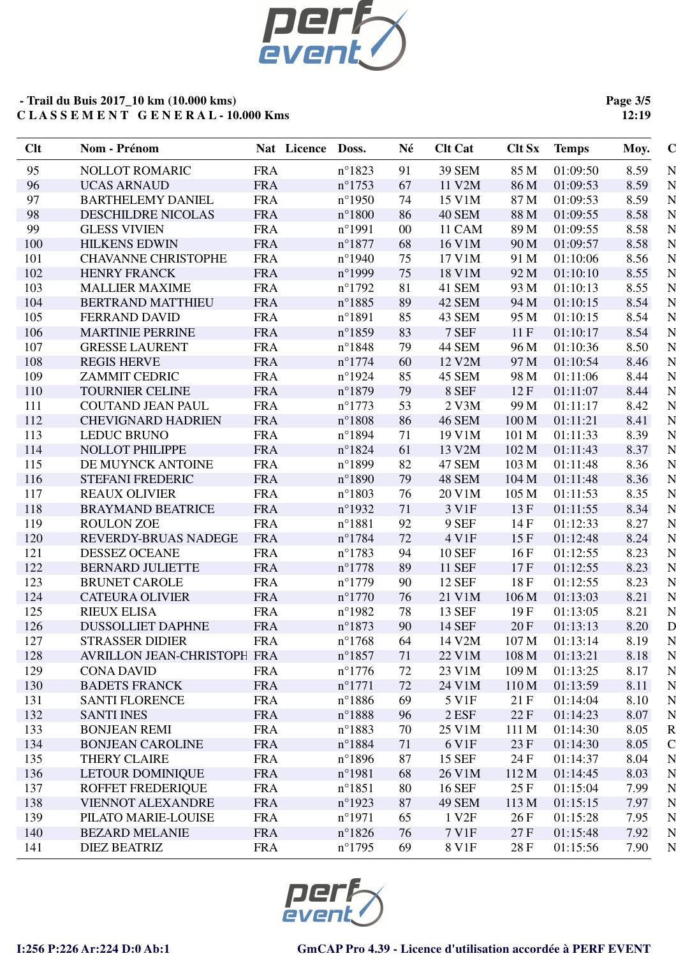

**Page 3/5 12:19**

| Clt | Nom - Prénom                | Nat Licence | Doss.            | Né     | <b>Clt Cat</b>    | <b>Clt Sx</b>    | <b>Temps</b> | $\mathbf C$<br>Moy.   |
|-----|-----------------------------|-------------|------------------|--------|-------------------|------------------|--------------|-----------------------|
| 95  | <b>NOLLOT ROMARIC</b>       | <b>FRA</b>  | $n^{\circ}1823$  | 91     | <b>39 SEM</b>     | 85 M             | 01:09:50     | 8.59<br>N             |
| 96  | <b>UCAS ARNAUD</b>          | <b>FRA</b>  | $n^{\circ}$ 1753 | 67     | 11 V2M            | 86 M             | 01:09:53     | 8.59<br>N             |
| 97  | <b>BARTHELEMY DANIEL</b>    | <b>FRA</b>  | $n^{\circ}$ 1950 | 74     | 15 V1M            | 87 M             | 01:09:53     | N<br>8.59             |
| 98  | <b>DESCHILDRE NICOLAS</b>   | <b>FRA</b>  | $n^{\circ}1800$  | 86     | <b>40 SEM</b>     | 88 M             | 01:09:55     | N<br>8.58             |
| 99  | <b>GLESS VIVIEN</b>         | <b>FRA</b>  | $n^{\circ}1991$  | $00\,$ | 11 CAM            | 89 M             | 01:09:55     | N<br>8.58             |
| 100 | <b>HILKENS EDWIN</b>        | <b>FRA</b>  | $n^{\circ}1877$  | 68     | 16 V1M            | 90 M             | 01:09:57     | N<br>8.58             |
| 101 | <b>CHAVANNE CHRISTOPHE</b>  | <b>FRA</b>  | $n^{\circ}$ 1940 | 75     | 17 V1M            | 91 M             | 01:10:06     | $\mathbf N$<br>8.56   |
| 102 | <b>HENRY FRANCK</b>         | <b>FRA</b>  | n°1999           | 75     | 18 V1M            | 92 M             | 01:10:10     | N<br>8.55             |
| 103 | <b>MALLIER MAXIME</b>       | <b>FRA</b>  | $n^{\circ}1792$  | 81     | 41 SEM            | 93 M             | 01:10:13     | N<br>8.55             |
| 104 | <b>BERTRAND MATTHIEU</b>    | <b>FRA</b>  | $n^{\circ}1885$  | 89     | 42 SEM            | 94 M             | 01:10:15     | 8.54<br>N             |
| 105 | <b>FERRAND DAVID</b>        | <b>FRA</b>  | $n^{\circ}1891$  | 85     | 43 SEM            | 95 M             | 01:10:15     | 8.54<br>N             |
| 106 | <b>MARTINIE PERRINE</b>     | <b>FRA</b>  | $n^{\circ}1859$  | 83     | 7 SEF             | 11F              | 01:10:17     | 8.54<br>N             |
| 107 | <b>GRESSE LAURENT</b>       | <b>FRA</b>  | $n^{\circ}1848$  | 79     | <b>44 SEM</b>     | 96 M             | 01:10:36     | 8.50<br>N             |
| 108 | <b>REGIS HERVE</b>          | <b>FRA</b>  | $n^{\circ}$ 1774 | 60     | 12 V2M            | 97 M             | 01:10:54     | 8.46<br>N             |
| 109 | <b>ZAMMIT CEDRIC</b>        | <b>FRA</b>  | $n^{\circ}$ 1924 | 85     | 45 SEM            | 98 M             | 01:11:06     | N<br>8.44             |
| 110 | <b>TOURNIER CELINE</b>      | <b>FRA</b>  | $n^{\circ}1879$  | 79     | 8 SEF             | 12F              | 01:11:07     | N<br>8.44             |
| 111 | <b>COUTAND JEAN PAUL</b>    | <b>FRA</b>  | $n^{\circ}1773$  | 53     | $2$ V $3M$        | 99 M             | 01:11:17     | N<br>8.42             |
| 112 | <b>CHEVIGNARD HADRIEN</b>   | <b>FRA</b>  | $n^{\circ}1808$  | 86     | <b>46 SEM</b>     | 100 M            | 01:11:21     | N<br>8.41             |
| 113 | <b>LEDUC BRUNO</b>          | <b>FRA</b>  | $n^{\circ}1894$  | 71     | 19 V1M            | 101 M            | 01:11:33     | 8.39<br>N             |
| 114 | <b>NOLLOT PHILIPPE</b>      | <b>FRA</b>  | $n^{\circ}1824$  | 61     | 13 V2M            | 102 M            | 01:11:43     | N<br>8.37             |
| 115 | DE MUYNCK ANTOINE           | <b>FRA</b>  | $n^{\circ}1899$  | 82     | <b>47 SEM</b>     | 103 M            | 01:11:48     | N<br>8.36             |
| 116 | <b>STEFANI FREDERIC</b>     | <b>FRA</b>  | $n^{\circ}1890$  | 79     | 48 SEM            | 104 M            | 01:11:48     | 8.36<br>N             |
| 117 | <b>REAUX OLIVIER</b>        | <b>FRA</b>  | $n^{\circ}1803$  | 76     | 20 V1M            | 105 M            | 01:11:53     | N<br>8.35             |
| 118 | <b>BRAYMAND BEATRICE</b>    | <b>FRA</b>  | $n^{\circ}$ 1932 | 71     | 3 V1F             | 13F              | 01:11:55     | N<br>8.34             |
| 119 | <b>ROULON ZOE</b>           | <b>FRA</b>  | $n^{\circ}1881$  | 92     | 9 SEF             | 14F              | 01:12:33     | 8.27<br>N             |
| 120 | REVERDY-BRUAS NADEGE        | <b>FRA</b>  | $n^{\circ}1784$  | 72     | 4 V1F             | 15F              | 01:12:48     | 8.24<br>N             |
| 121 | <b>DESSEZ OCEANE</b>        | <b>FRA</b>  | $n^{\circ}$ 1783 | 94     | <b>10 SEF</b>     | 16F              | 01:12:55     | N<br>8.23             |
| 122 | <b>BERNARD JULIETTE</b>     | <b>FRA</b>  | $n^{\circ}$ 1778 | 89     | <b>11 SEF</b>     | 17F              | 01:12:55     | N<br>8.23             |
| 123 | <b>BRUNET CAROLE</b>        | <b>FRA</b>  | $n^{\circ}1779$  | 90     | <b>12 SEF</b>     | 18F              | 01:12:55     | $\mathbf N$<br>8.23   |
| 124 | <b>CATEURA OLIVIER</b>      | <b>FRA</b>  | $n^{\circ}1770$  | 76     | 21 V1M            | 106 M            | 01:13:03     | N<br>8.21             |
| 125 | <b>RIEUX ELISA</b>          | <b>FRA</b>  | $n^{\circ}$ 1982 | 78     | 13 SEF            | 19F              | 01:13:05     | N<br>8.21             |
| 126 | <b>DUSSOLLIET DAPHNE</b>    | <b>FRA</b>  | $n^{\circ}1873$  | 90     | <b>14 SEF</b>     | 20F              | 01:13:13     | D<br>8.20             |
| 127 | <b>STRASSER DIDIER</b>      | <b>FRA</b>  | $n^{\circ}1768$  | 64     | 14 V2M            | 107 M            | 01:13:14     | N<br>8.19             |
| 128 | AVRILLON JEAN-CHRISTOPH FRA |             | $n^{\circ}1857$  | 71     | 22 V1M            | 108 M            | 01:13:21     | N<br>8.18             |
| 129 | <b>CONA DAVID</b>           | <b>FRA</b>  | $n^{\circ}$ 1776 | 72     | 23 V1M            | 109 M            | 01:13:25     | 8.17<br>N             |
| 130 | <b>BADETS FRANCK</b>        | <b>FRA</b>  | $n^{\circ}1771$  | 72     | 24 V1M            | 110 <sub>M</sub> | 01:13:59     | 8.11<br>N             |
| 131 | <b>SANTI FLORENCE</b>       | <b>FRA</b>  | $n^{\circ}$ 1886 | 69     | 5 V1F             | 21F              | 01:14:04     | 8.10<br>N             |
| 132 | <b>SANTI INES</b>           | <b>FRA</b>  | $n^{\circ}1888$  | 96     | $2$ ESF           | 22 F             | 01:14:23     | 8.07<br>N             |
| 133 | <b>BONJEAN REMI</b>         | <b>FRA</b>  | $n^{\circ}1883$  | 70     | 25 V1M            | 111 M            | 01:14:30     | $\mathbf R$<br>8.05   |
| 134 | <b>BONJEAN CAROLINE</b>     | <b>FRA</b>  | $n^{\circ}1884$  | 71     | 6 V1F             | 23 F             | 01:14:30     | $\mathcal{C}$<br>8.05 |
| 135 | <b>THERY CLAIRE</b>         | <b>FRA</b>  | $n^{\circ}1896$  | 87     | 15 SEF            | 24 F             | 01:14:37     | N<br>8.04             |
| 136 | <b>LETOUR DOMINIQUE</b>     | <b>FRA</b>  | $n^{\circ}$ 1981 | 68     | 26 V1M            | 112 M            | 01:14:45     | 8.03<br>N             |
| 137 | <b>ROFFET FREDERIQUE</b>    | <b>FRA</b>  | $n^{\circ}1851$  | 80     | <b>16 SEF</b>     | 25 F             | 01:15:04     | 7.99<br>N             |
| 138 | VIENNOT ALEXANDRE           | <b>FRA</b>  | $n^{\circ}$ 1923 | 87     | <b>49 SEM</b>     | 113 M            | 01:15:15     | 7.97<br>N             |
| 139 | PILATO MARIE-LOUISE         | <b>FRA</b>  | $n^{\circ}1971$  | 65     | 1 V <sub>2F</sub> | 26F              | 01:15:28     | 7.95<br>N             |
| 140 | <b>BEZARD MELANIE</b>       | <b>FRA</b>  | $n^{\circ}1826$  | 76     | 7 V1F             | 27F              | 01:15:48     | N<br>7.92             |
| 141 | <b>DIEZ BEATRIZ</b>         | <b>FRA</b>  | $n^{\circ}$ 1795 | 69     | 8 V1F             | 28 F             | 01:15:56     | N<br>7.90             |

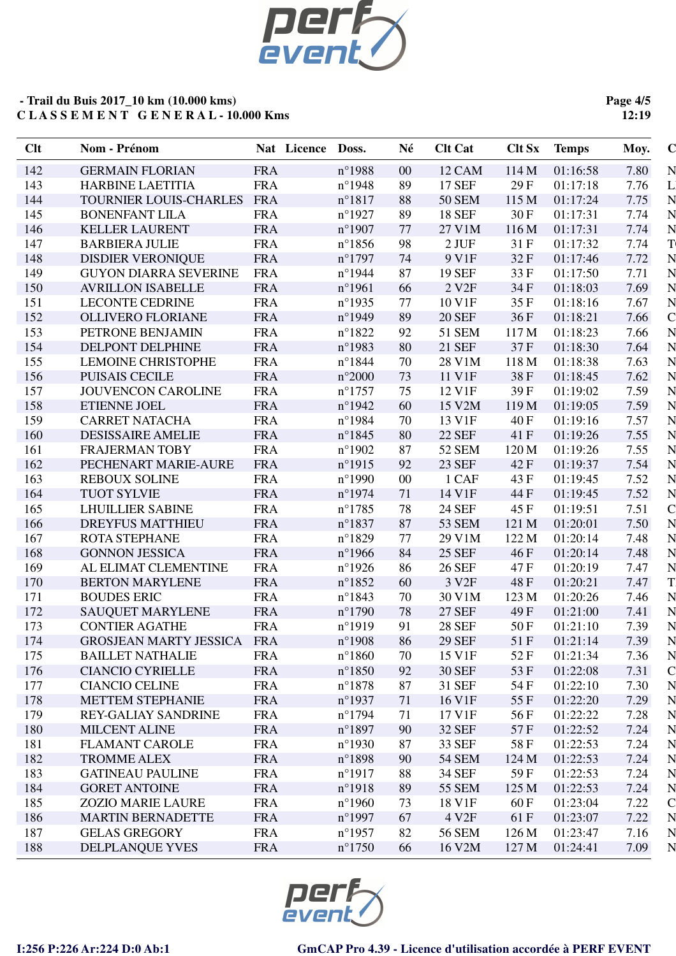

**Page 4/5 12:19**

| Clt | Nom - Prénom                  |            | Nat Licence | Doss.            | Né     | <b>Clt Cat</b>    | <b>Clt Sx</b> | <b>Temps</b> | Moy. | $\mathbf C$    |
|-----|-------------------------------|------------|-------------|------------------|--------|-------------------|---------------|--------------|------|----------------|
| 142 | <b>GERMAIN FLORIAN</b>        | <b>FRA</b> |             | $n^{\circ}$ 1988 | $00\,$ | 12 CAM            | 114 M         | 01:16:58     | 7.80 | N              |
| 143 | <b>HARBINE LAETITIA</b>       | <b>FRA</b> |             | $n^{\circ}$ 1948 | 89     | <b>17 SEF</b>     | 29F           | 01:17:18     | 7.76 | Ľ              |
| 144 | TOURNIER LOUIS-CHARLES        | <b>FRA</b> |             | $n^{\circ}1817$  | 88     | <b>50 SEM</b>     | 115 M         | 01:17:24     | 7.75 | N              |
| 145 | <b>BONENFANT LILA</b>         | <b>FRA</b> |             | $n^{\circ}$ 1927 | 89     | <b>18 SEF</b>     | 30 F          | 01:17:31     | 7.74 | N              |
| 146 | <b>KELLER LAURENT</b>         | <b>FRA</b> |             | $n^{\circ}$ 1907 | 77     | 27 V1M            | 116 M         | 01:17:31     | 7.74 | N              |
| 147 | <b>BARBIERA JULIE</b>         | <b>FRA</b> |             | $n^{\circ}1856$  | 98     | $2$ JUF           | 31 F          | 01:17:32     | 7.74 | T              |
| 148 | <b>DISDIER VERONIQUE</b>      | <b>FRA</b> |             | $n^{\circ}$ 1797 | 74     | 9 V1F             | 32F           | 01:17:46     | 7.72 | N              |
| 149 | <b>GUYON DIARRA SEVERINE</b>  | <b>FRA</b> |             | $n^{\circ}$ 1944 | 87     | <b>19 SEF</b>     | 33 F          | 01:17:50     | 7.71 | N              |
| 150 | <b>AVRILLON ISABELLE</b>      | <b>FRA</b> |             | $n^{\circ}$ 1961 | 66     | 2 V <sub>2F</sub> | 34 F          | 01:18:03     | 7.69 | N              |
| 151 | <b>LECONTE CEDRINE</b>        | <b>FRA</b> |             | $n^{\circ}$ 1935 | 77     | 10 V1F            | 35 F          | 01:18:16     | 7.67 | N              |
| 152 | <b>OLLIVERO FLORIANE</b>      | <b>FRA</b> |             | $n^{\circ}$ 1949 | 89     | <b>20 SEF</b>     | 36F           | 01:18:21     | 7.66 | $\overline{C}$ |
| 153 | PETRONE BENJAMIN              | <b>FRA</b> |             | $n^{\circ}1822$  | 92     | 51 SEM            | 117 M         | 01:18:23     | 7.66 | N              |
| 154 | DELPONT DELPHINE              | <b>FRA</b> |             | $n^{\circ}$ 1983 | 80     | 21 SEF            | 37F           | 01:18:30     | 7.64 | N              |
| 155 | <b>LEMOINE CHRISTOPHE</b>     | <b>FRA</b> |             | $n^{\circ}1844$  | 70     | 28 V1M            | 118 M         | 01:18:38     | 7.63 | N              |
| 156 | <b>PUISAIS CECILE</b>         | <b>FRA</b> |             | $n^{\circ}2000$  | 73     | 11 V1F            | 38F           | 01:18:45     | 7.62 | N              |
| 157 | <b>JOUVENCON CAROLINE</b>     | <b>FRA</b> |             | $n^{\circ}$ 1757 | 75     | 12 V1F            | 39F           | 01:19:02     | 7.59 | N              |
| 158 | <b>ETIENNE JOEL</b>           | <b>FRA</b> |             | $n^{\circ}$ 1942 | 60     | 15 V2M            | 119 M         | 01:19:05     | 7.59 | N              |
| 159 | <b>CARRET NATACHA</b>         | <b>FRA</b> |             | $n^{\circ}$ 1984 | 70     | 13 V1F            | 40 F          | 01:19:16     | 7.57 | N              |
| 160 | <b>DESISSAIRE AMELIE</b>      | <b>FRA</b> |             | $n^{\circ}1845$  | 80     | <b>22 SEF</b>     | 41 F          | 01:19:26     | 7.55 | N              |
| 161 | <b>FRAJERMAN TOBY</b>         | <b>FRA</b> |             | $n^{\circ}$ 1902 | 87     | 52 SEM            | 120 M         | 01:19:26     | 7.55 | N              |
| 162 | PECHENART MARIE-AURE          | <b>FRA</b> |             | $n^{\circ}$ 1915 | 92     | <b>23 SEF</b>     | 42 F          | 01:19:37     | 7.54 | N              |
| 163 | <b>REBOUX SOLINE</b>          | <b>FRA</b> |             | $n^{\circ}$ 1990 | $00\,$ | 1 CAF             | 43 F          | 01:19:45     | 7.52 | N              |
| 164 | <b>TUOT SYLVIE</b>            | <b>FRA</b> |             | $n^{\circ}$ 1974 | 71     | 14 V1F            | 44 F          | 01:19:45     | 7.52 | N              |
| 165 | <b>LHUILLIER SABINE</b>       | <b>FRA</b> |             | $n^{\circ}1785$  | 78     | 24 SEF            | 45 F          | 01:19:51     | 7.51 | $\mathbf C$    |
| 166 | <b>DREYFUS MATTHIEU</b>       | <b>FRA</b> |             | $n^{\circ}1837$  | 87     | <b>53 SEM</b>     | 121 M         | 01:20:01     | 7.50 | N              |
| 167 | <b>ROTA STEPHANE</b>          | <b>FRA</b> |             | $n^{\circ}1829$  | 77     | 29 V1M            | 122 M         | 01:20:14     | 7.48 | N              |
| 168 | <b>GONNON JESSICA</b>         | <b>FRA</b> |             | $n^{\circ}$ 1966 | 84     | <b>25 SEF</b>     | 46 F          | 01:20:14     | 7.48 | $\mathbf N$    |
| 169 | AL ELIMAT CLEMENTINE          | <b>FRA</b> |             | $n^{\circ}$ 1926 | 86     | <b>26 SEF</b>     | 47 F          | 01:20:19     | 7.47 | N              |
| 170 | <b>BERTON MARYLENE</b>        | <b>FRA</b> |             | $n^{\circ}1852$  | 60     | 3 V <sub>2F</sub> | 48F           | 01:20:21     | 7.47 | T.             |
| 171 | <b>BOUDES ERIC</b>            | <b>FRA</b> |             | $n^{\circ}1843$  | 70     | 30 V1M            | 123 M         | 01:20:26     | 7.46 | N              |
| 172 | <b>SAUQUET MARYLENE</b>       | <b>FRA</b> |             | $n^{\circ}1790$  | 78     | <b>27 SEF</b>     | 49 F          | 01:21:00     | 7.41 | N              |
| 173 | <b>CONTIER AGATHE</b>         | <b>FRA</b> |             | $n^{\circ}1919$  | 91     | <b>28 SEF</b>     | 50 F          | 01:21:10     | 7.39 | N              |
| 174 | <b>GROSJEAN MARTY JESSICA</b> | <b>FRA</b> |             | $n^{\circ}$ 1908 | 86     | <b>29 SEF</b>     | 51F           | 01:21:14     | 7.39 | N              |
| 175 | <b>BAILLET NATHALIE</b>       | <b>FRA</b> |             | $n^{\circ}1860$  | 70     | 15 V1F            | 52 F          | 01:21:34     | 7.36 | N              |
| 176 | <b>CIANCIO CYRIELLE</b>       | <b>FRA</b> |             | $n^{\circ}1850$  | 92     | <b>30 SEF</b>     | 53 F          | 01:22:08     | 7.31 | $\mathbf C$    |
| 177 | <b>CIANCIO CELINE</b>         | <b>FRA</b> |             | $n^{\circ}1878$  | 87     | 31 SEF            | 54 F          | 01:22:10     | 7.30 | N              |
| 178 | <b>METTEM STEPHANIE</b>       | <b>FRA</b> |             | $n^{\circ}$ 1937 | 71     | 16 V1F            | 55 F          | 01:22:20     | 7.29 | $\mathbf N$    |
| 179 | REY-GALIAY SANDRINE           | <b>FRA</b> |             | $n^{\circ}1794$  | 71     | 17 V1F            | 56 F          | 01:22:22     | 7.28 | $\mathbf N$    |
| 180 | <b>MILCENT ALINE</b>          | <b>FRA</b> |             | $n^{\circ}1897$  | 90     | <b>32 SEF</b>     | 57F           | 01:22:52     | 7.24 | N              |
| 181 | <b>FLAMANT CAROLE</b>         | <b>FRA</b> |             | $n^{\circ}$ 1930 | 87     | 33 SEF            | 58 F          | 01:22:53     | 7.24 | N              |
| 182 | <b>TROMME ALEX</b>            | <b>FRA</b> |             | $n^{\circ}1898$  | 90     | <b>54 SEM</b>     | 124 M         | 01:22:53     | 7.24 | N              |
| 183 | <b>GATINEAU PAULINE</b>       | <b>FRA</b> |             | $n^{\circ}1917$  | 88     | 34 SEF            | 59 F          | 01:22:53     | 7.24 | N              |
| 184 | <b>GORET ANTOINE</b>          | <b>FRA</b> |             | $n^{\circ}1918$  | 89     | 55 SEM            | 125 M         | 01:22:53     | 7.24 | N              |
| 185 | <b>ZOZIO MARIE LAURE</b>      | <b>FRA</b> |             | $n^{\circ}$ 1960 | 73     | 18 V1F            | 60 F          | 01:23:04     | 7.22 | $\mathbf C$    |
| 186 | <b>MARTIN BERNADETTE</b>      | <b>FRA</b> |             | $n^{\circ}$ 1997 | 67     | 4 V <sub>2F</sub> | 61 F          | 01:23:07     | 7.22 | N              |
| 187 | <b>GELAS GREGORY</b>          | <b>FRA</b> |             | $n^{\circ}$ 1957 | 82     | 56 SEM            | 126 M         | 01:23:47     | 7.16 | N              |
| 188 | DELPLANQUE YVES               | <b>FRA</b> |             | $n^{\circ}1750$  | 66     | 16 V2M            | 127 M         | 01:24:41     | 7.09 | N              |